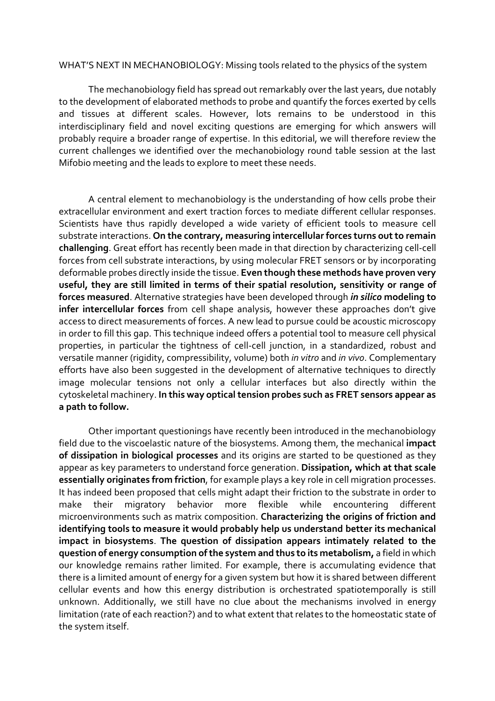WHAT'S NEXT IN MECHANOBIOLOGY: Missing tools related to the physics of the system

The mechanobiology field has spread out remarkably over the last years, due notably to the development of elaborated methods to probe and quantify the forces exerted by cells and tissues at different scales. However, lots remains to be understood in this interdisciplinary field and novel exciting questions are emerging for which answers will probably require a broader range of expertise. In this editorial, we will therefore review the current challenges we identified over the mechanobiology round table session at the last Mifobio meeting and the leads to explore to meet these needs.

A central element to mechanobiology is the understanding of how cells probe their extracellular environment and exert traction forces to mediate different cellular responses. Scientists have thus rapidly developed a wide variety of efficient tools to measure cell substrate interactions. **On the contrary, measuring intercellular forces turns out to remain challenging**. Great effort has recently been made in that direction by characterizing cell-cell forces from cell substrate interactions, by using molecular FRET sensors or by incorporating deformable probes directly inside the tissue. **Even though these methods have proven very useful, they are still limited in terms of their spatial resolution, sensitivity or range of forces measured**. Alternative strategies have been developed through *in silico* **modeling to infer intercellular forces** from cell shape analysis, however these approaches don't give access to direct measurements of forces. A new lead to pursue could be acoustic microscopy in order to fill this gap. This technique indeed offers a potential tool to measure cell physical properties, in particular the tightness of cell-cell junction, in a standardized, robust and versatile manner (rigidity, compressibility, volume) both *in vitro* and *in vivo*. Complementary efforts have also been suggested in the development of alternative techniques to directly image molecular tensions not only a cellular interfaces but also directly within the cytoskeletal machinery. **In this way optical tension probes such as FRET sensors appear as a path to follow.**

Other important questionings have recently been introduced in the mechanobiology field due to the viscoelastic nature of the biosystems. Among them, the mechanical **impact of dissipation in biological processes** and its origins are started to be questioned as they appear as key parameters to understand force generation. **Dissipation, which at that scale essentially originates from friction**, for example plays a key role in cell migration processes. It has indeed been proposed that cells might adapt their friction to the substrate in order to make their migratory behavior more flexible while encountering different microenvironments such as matrix composition. **Characterizing the origins of friction and identifying tools to measure it would probably help us understand better its mechanical impact in biosystems**. **The question of dissipation appears intimately related to the question of energy consumption of the system and thus to its metabolism,** a field in which our knowledge remains rather limited. For example, there is accumulating evidence that there is a limited amount of energy for a given system but how it is shared between different cellular events and how this energy distribution is orchestrated spatiotemporally is still unknown. Additionally, we still have no clue about the mechanisms involved in energy limitation (rate of each reaction?) and to what extent that relates to the homeostatic state of the system itself.